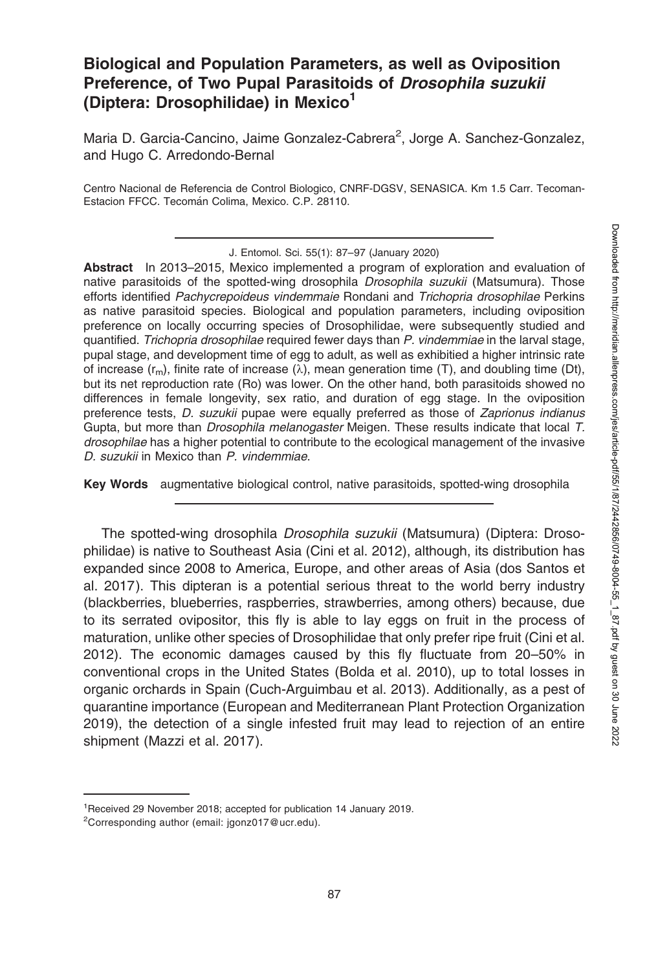## Biological and Population Parameters, as well as Oviposition Preference, of Two Pupal Parasitoids of Drosophila suzukii (Diptera: Drosophilidae) in Mexico<sup>1</sup>

Maria D. Garcia-Cancino, Jaime Gonzalez-Cabrera<sup>2</sup>, Jorge A. Sanchez-Gonzalez, and Hugo C. Arredondo-Bernal

Centro Nacional de Referencia de Control Biologico, CNRF-DGSV, SENASICA. Km 1.5 Carr. Tecoman-Estacion FFCC. Tecomán Colima, Mexico. C.P. 28110.

Abstract In 2013–2015, Mexico implemented a program of exploration and evaluation of native parasitoids of the spotted-wing drosophila Drosophila suzukii (Matsumura). Those efforts identified Pachycrepoideus vindemmaie Rondani and Trichopria drosophilae Perkins as native parasitoid species. Biological and population parameters, including oviposition preference on locally occurring species of Drosophilidae, were subsequently studied and quantified. Trichopria drosophilae required fewer days than P. vindemmiae in the larval stage, pupal stage, and development time of egg to adult, as well as exhibitied a higher intrinsic rate of increase  $(r_m)$ , finite rate of increase  $(\lambda)$ , mean generation time (T), and doubling time (Dt), but its net reproduction rate (Ro) was lower. On the other hand, both parasitoids showed no differences in female longevity, sex ratio, and duration of egg stage. In the oviposition preference tests, D. suzukii pupae were equally preferred as those of Zaprionus indianus Gupta, but more than *Drosophila melanogaster* Meigen. These results indicate that local T. drosophilae has a higher potential to contribute to the ecological management of the invasive D. suzukii in Mexico than P. vindemmiae.

Key Words augmentative biological control, native parasitoids, spotted-wing drosophila

The spotted-wing drosophila Drosophila suzukii (Matsumura) (Diptera: Drosophilidae) is native to Southeast Asia (Cini et al. 2012), although, its distribution has expanded since 2008 to America, Europe, and other areas of Asia (dos Santos et al. 2017). This dipteran is a potential serious threat to the world berry industry (blackberries, blueberries, raspberries, strawberries, among others) because, due to its serrated ovipositor, this fly is able to lay eggs on fruit in the process of maturation, unlike other species of Drosophilidae that only prefer ripe fruit (Cini et al. 2012). The economic damages caused by this fly fluctuate from 20–50% in conventional crops in the United States (Bolda et al. 2010), up to total losses in organic orchards in Spain (Cuch-Arguimbau et al. 2013). Additionally, as a pest of quarantine importance (European and Mediterranean Plant Protection Organization 2019), the detection of a single infested fruit may lead to rejection of an entire shipment (Mazzi et al. 2017).

J. Entomol. Sci. 55(1): 87–97 (January 2020)

<sup>1</sup> Received 29 November 2018; accepted for publication 14 January 2019.

<sup>&</sup>lt;sup>2</sup>Corresponding author (email: jgonz017@ucr.edu).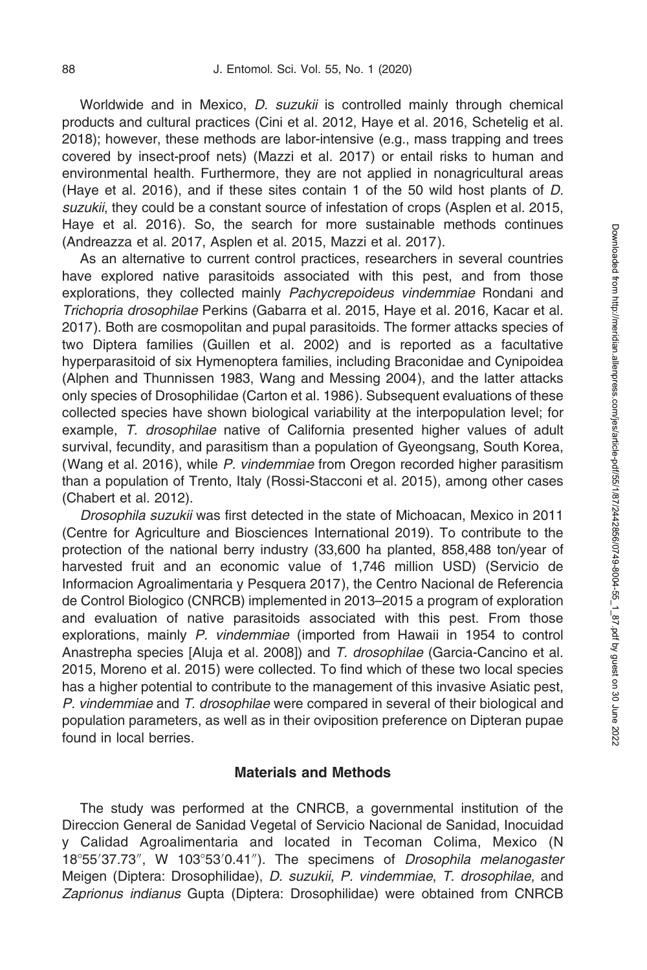Worldwide and in Mexico, *D. suzukii* is controlled mainly through chemical products and cultural practices (Cini et al. 2012, Haye et al. 2016, Schetelig et al. 2018); however, these methods are labor-intensive (e.g., mass trapping and trees covered by insect-proof nets) (Mazzi et al. 2017) or entail risks to human and environmental health. Furthermore, they are not applied in nonagricultural areas (Haye et al. 2016), and if these sites contain 1 of the 50 wild host plants of D. suzukii, they could be a constant source of infestation of crops (Asplen et al. 2015, Haye et al. 2016). So, the search for more sustainable methods continues (Andreazza et al. 2017, Asplen et al. 2015, Mazzi et al. 2017).

As an alternative to current control practices, researchers in several countries have explored native parasitoids associated with this pest, and from those explorations, they collected mainly Pachycrepoideus vindemmiae Rondani and Trichopria drosophilae Perkins (Gabarra et al. 2015, Haye et al. 2016, Kacar et al. 2017). Both are cosmopolitan and pupal parasitoids. The former attacks species of two Diptera families (Guillen et al. 2002) and is reported as a facultative hyperparasitoid of six Hymenoptera families, including Braconidae and Cynipoidea (Alphen and Thunnissen 1983, Wang and Messing 2004), and the latter attacks only species of Drosophilidae (Carton et al. 1986). Subsequent evaluations of these collected species have shown biological variability at the interpopulation level; for example, T. drosophilae native of California presented higher values of adult survival, fecundity, and parasitism than a population of Gyeongsang, South Korea, (Wang et al. 2016), while P. vindemmiae from Oregon recorded higher parasitism than a population of Trento, Italy (Rossi-Stacconi et al. 2015), among other cases (Chabert et al. 2012).

Drosophila suzukii was first detected in the state of Michoacan, Mexico in 2011 (Centre for Agriculture and Biosciences International 2019). To contribute to the protection of the national berry industry (33,600 ha planted, 858,488 ton/year of harvested fruit and an economic value of 1,746 million USD) (Servicio de Informacion Agroalimentaria y Pesquera 2017), the Centro Nacional de Referencia de Control Biologico (CNRCB) implemented in 2013–2015 a program of exploration and evaluation of native parasitoids associated with this pest. From those explorations, mainly P. vindemmiae (imported from Hawaii in 1954 to control Anastrepha species [Aluja et al. 2008]) and T. drosophilae (Garcia-Cancino et al. 2015, Moreno et al. 2015) were collected. To find which of these two local species has a higher potential to contribute to the management of this invasive Asiatic pest, P. vindemmiae and T. drosophilae were compared in several of their biological and population parameters, as well as in their oviposition preference on Dipteran pupae found in local berries.

## Materials and Methods

The study was performed at the CNRCB, a governmental institution of the Direccion General de Sanidad Vegetal of Servicio Nacional de Sanidad, Inocuidad y Calidad Agroalimentaria and located in Tecoman Colima, Mexico (N 18°55'37.73", W 103°53'0.41"). The specimens of Drosophila melanogaster Meigen (Diptera: Drosophilidae), D. suzukii, P. vindemmiae, T. drosophilae, and Zaprionus indianus Gupta (Diptera: Drosophilidae) were obtained from CNRCB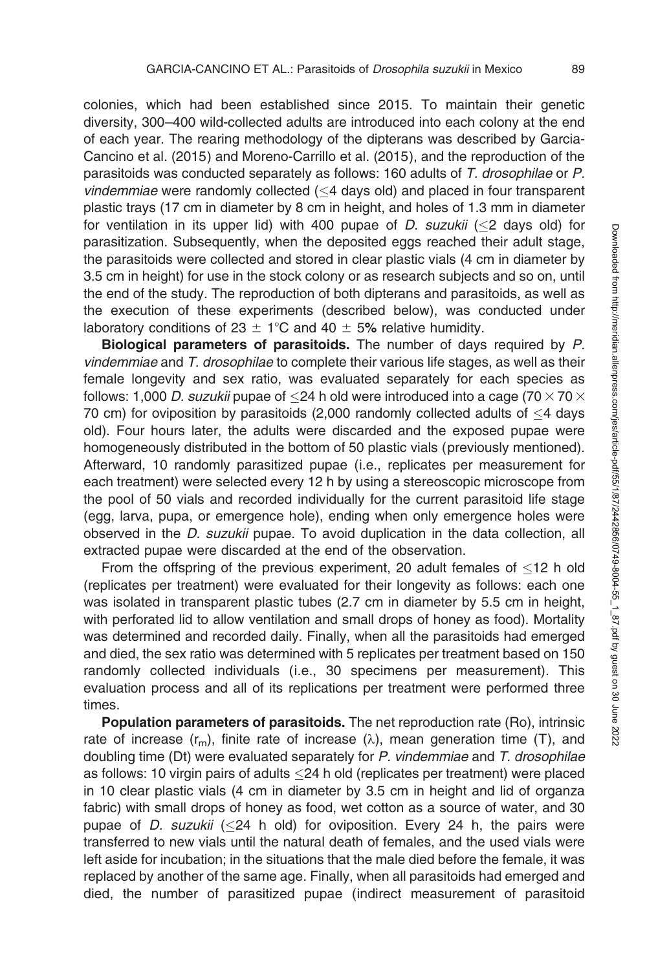colonies, which had been established since 2015. To maintain their genetic diversity, 300–400 wild-collected adults are introduced into each colony at the end of each year. The rearing methodology of the dipterans was described by Garcia-Cancino et al. (2015) and Moreno-Carrillo et al. (2015), and the reproduction of the parasitoids was conducted separately as follows: 160 adults of T. drosophilae or P.  $v$ *indemmiae* were randomly collected ( $\leq$ 4 days old) and placed in four transparent plastic trays (17 cm in diameter by 8 cm in height, and holes of 1.3 mm in diameter for ventilation in its upper lid) with 400 pupae of *D. suzukii* ( $\leq$ 2 days old) for parasitization. Subsequently, when the deposited eggs reached their adult stage, the parasitoids were collected and stored in clear plastic vials (4 cm in diameter by 3.5 cm in height) for use in the stock colony or as research subjects and so on, until the end of the study. The reproduction of both dipterans and parasitoids, as well as the execution of these experiments (described below), was conducted under laboratory conditions of 23  $\pm$  1°C and 40  $\pm$  5% relative humidity.

Biological parameters of parasitoids. The number of days required by P. vindemmiae and T. drosophilae to complete their various life stages, as well as their female longevity and sex ratio, was evaluated separately for each species as follows: 1,000 *D. suzukii* pupae of  ${\leq}24$  h old were introduced into a cage (70  ${\times}$  70  ${\times}$ 70 cm) for oviposition by parasitoids (2,000 randomly collected adults of  $\leq$ 4 days old). Four hours later, the adults were discarded and the exposed pupae were homogeneously distributed in the bottom of 50 plastic vials (previously mentioned). Afterward, 10 randomly parasitized pupae (i.e., replicates per measurement for each treatment) were selected every 12 h by using a stereoscopic microscope from the pool of 50 vials and recorded individually for the current parasitoid life stage (egg, larva, pupa, or emergence hole), ending when only emergence holes were observed in the D. suzukii pupae. To avoid duplication in the data collection, all extracted pupae were discarded at the end of the observation.

From the offspring of the previous experiment, 20 adult females of  $\leq$ 12 h old (replicates per treatment) were evaluated for their longevity as follows: each one was isolated in transparent plastic tubes (2.7 cm in diameter by 5.5 cm in height, with perforated lid to allow ventilation and small drops of honey as food). Mortality was determined and recorded daily. Finally, when all the parasitoids had emerged and died, the sex ratio was determined with 5 replicates per treatment based on 150 randomly collected individuals (i.e., 30 specimens per measurement). This evaluation process and all of its replications per treatment were performed three times.

Population parameters of parasitoids. The net reproduction rate (Ro), intrinsic rate of increase  $(r_m)$ , finite rate of increase  $(\lambda)$ , mean generation time (T), and doubling time (Dt) were evaluated separately for P. vindemmiae and T. drosophilae as follows: 10 virgin pairs of adults  $\leq$ 24 h old (replicates per treatment) were placed in 10 clear plastic vials (4 cm in diameter by 3.5 cm in height and lid of organza fabric) with small drops of honey as food, wet cotton as a source of water, and 30 pupae of *D. suzukii* ( $\leq$ 24 h old) for oviposition. Every 24 h, the pairs were transferred to new vials until the natural death of females, and the used vials were left aside for incubation; in the situations that the male died before the female, it was replaced by another of the same age. Finally, when all parasitoids had emerged and died, the number of parasitized pupae (indirect measurement of parasitoid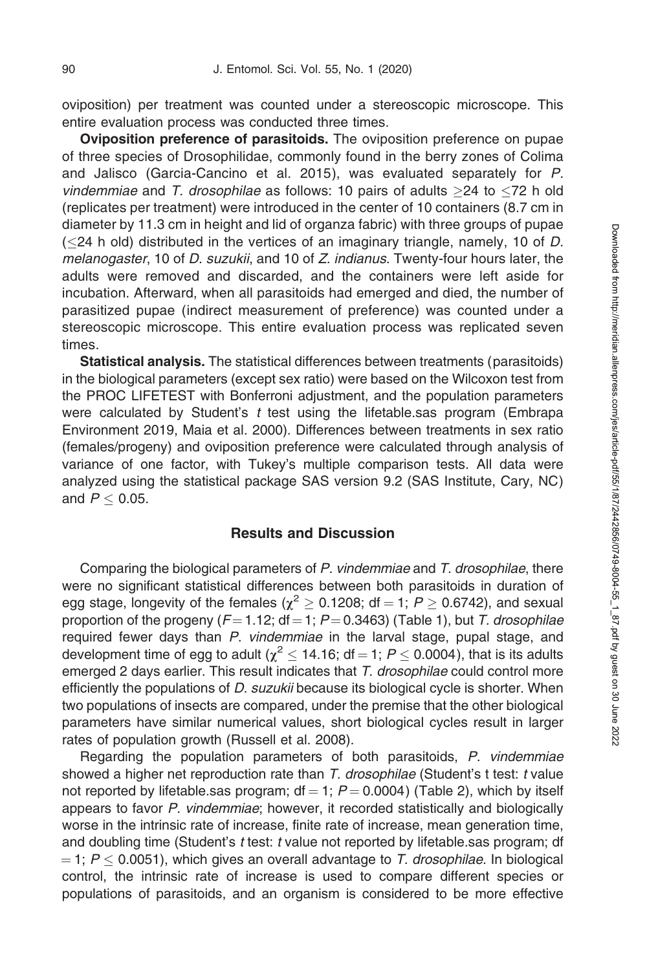oviposition) per treatment was counted under a stereoscopic microscope. This entire evaluation process was conducted three times.

Oviposition preference of parasitoids. The oviposition preference on pupae of three species of Drosophilidae, commonly found in the berry zones of Colima and Jalisco (Garcia-Cancino et al. 2015), was evaluated separately for P. vindemmiae and T. drosophilae as follows: 10 pairs of adults  $\geq$ 24 to  $\leq$ 72 h old (replicates per treatment) were introduced in the center of 10 containers (8.7 cm in diameter by 11.3 cm in height and lid of organza fabric) with three groups of pupae ( $\leq$ 24 h old) distributed in the vertices of an imaginary triangle, namely, 10 of D. melanogaster, 10 of *D. suzukii*, and 10 of *Z. indianus*. Twenty-four hours later, the adults were removed and discarded, and the containers were left aside for incubation. Afterward, when all parasitoids had emerged and died, the number of parasitized pupae (indirect measurement of preference) was counted under a stereoscopic microscope. This entire evaluation process was replicated seven times.

Statistical analysis. The statistical differences between treatments (parasitoids) in the biological parameters (except sex ratio) were based on the Wilcoxon test from the PROC LIFETEST with Bonferroni adjustment, and the population parameters were calculated by Student's  $t$  test using the lifetable.sas program (Embrapa Environment 2019, Maia et al. 2000). Differences between treatments in sex ratio (females/progeny) and oviposition preference were calculated through analysis of variance of one factor, with Tukey's multiple comparison tests. All data were analyzed using the statistical package SAS version 9.2 (SAS Institute, Cary, NC) and  $P \leq$  0.05.

## Results and Discussion

Comparing the biological parameters of P. vindemmiae and T. drosophilae, there were no significant statistical differences between both parasitoids in duration of egg stage, longevity of the females ( $\gamma^2 > 0.1208$ ; df = 1; P  $> 0.6742$ ), and sexual proportion of the progeny ( $F=1.12$ ; df = 1; P = 0.3463) (Table 1), but T. drosophilae required fewer days than P. vindemmiae in the larval stage, pupal stage, and development time of egg to adult ( $\chi^2$   $\leq$  14.16; df = 1;  $P$   $\leq$  0.0004), that is its adults emerged 2 days earlier. This result indicates that T. drosophilae could control more efficiently the populations of D. suzukii because its biological cycle is shorter. When two populations of insects are compared, under the premise that the other biological parameters have similar numerical values, short biological cycles result in larger rates of population growth (Russell et al. 2008).

Regarding the population parameters of both parasitoids, P. vindemmiae showed a higher net reproduction rate than T. drosophilae (Student's t test: t value not reported by lifetable.sas program;  $df = 1$ ;  $P = 0.0004$ ) (Table 2), which by itself appears to favor P. vindemmiae; however, it recorded statistically and biologically worse in the intrinsic rate of increase, finite rate of increase, mean generation time, and doubling time (Student's t test: t value not reported by lifetable.sas program; df  $=$  1;  $P \leq 0.0051$ ), which gives an overall advantage to T. drosophilae. In biological control, the intrinsic rate of increase is used to compare different species or populations of parasitoids, and an organism is considered to be more effective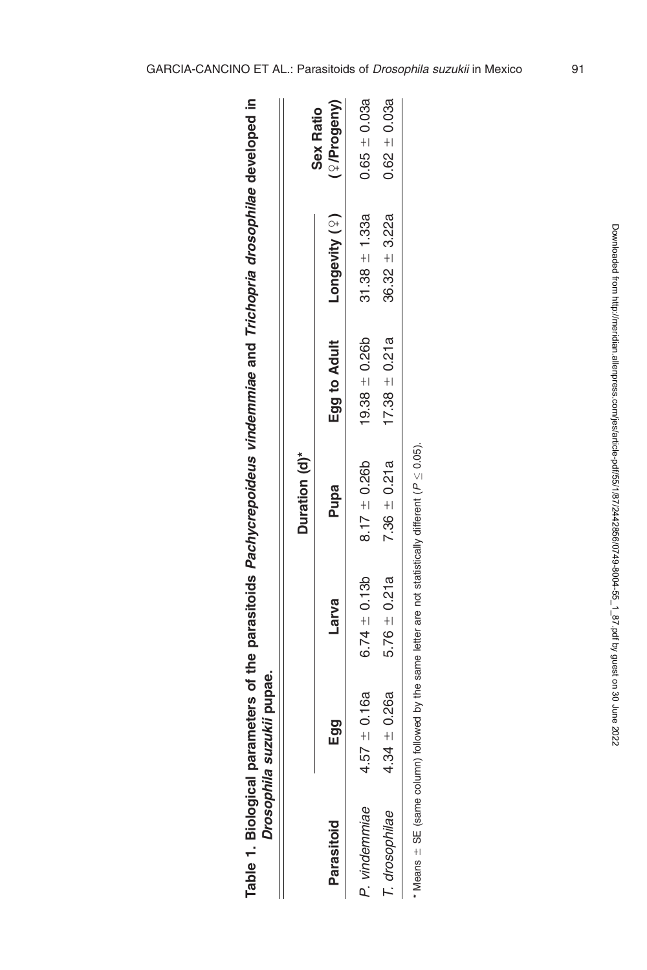|                | Drosophila suzukii pupae. |                                                                                                          |                  |                   |                   |                                     |
|----------------|---------------------------|----------------------------------------------------------------------------------------------------------|------------------|-------------------|-------------------|-------------------------------------|
|                |                           |                                                                                                          | Duration (d)*    |                   |                   |                                     |
| Parasitoid     | Egg                       | Larva                                                                                                    | Pupa             | Egg to Adult      | Longevity (?)     | <sup>2</sup> /Progeny)<br>Sex Ratio |
| P. vindemmiae  | $.57 \pm 0.16a$           | $6.74 \pm 0.13b$                                                                                         | $8.17 \pm 0.26b$ | $19.38 \pm 0.26b$ | $31.38 + 1.33a$   | $0.65 \pm 0.03a$                    |
| T. drosophilae | $.34 \pm 0.26a$           | $5.76 \pm 0.21a$                                                                                         | $7.36 \pm 0.21a$ | 17.38 $\pm$ 0.21a | $36.32 \pm 3.22a$ | $0.62 - 0.03a$                      |
|                |                           | * Means $\pm$ SE (same column) followed by the same letter are not statistically different ( $P$ < 0.05) |                  |                   |                   |                                     |

Table 1. Biological parameters of the parasitoids Pachycrepoideus vindemmiae and Trichopria drosophilae developed in

Table 1. Biological parameters of the parasitoids Pachycrepoideus vindemmiae and Trichopria drosophilae developed

 $\equiv$ 

| l<br>l<br>$\overline{\phantom{a}}$ |
|------------------------------------|
| I<br>l<br>١                        |
| i                                  |
| l<br>l<br>l                        |
| í<br>i                             |
| l                                  |
|                                    |
| í                                  |
|                                    |
|                                    |
| J<br>ļ                             |
| ı<br>ׇ֖֖֚֚֚֚֚֬֝                    |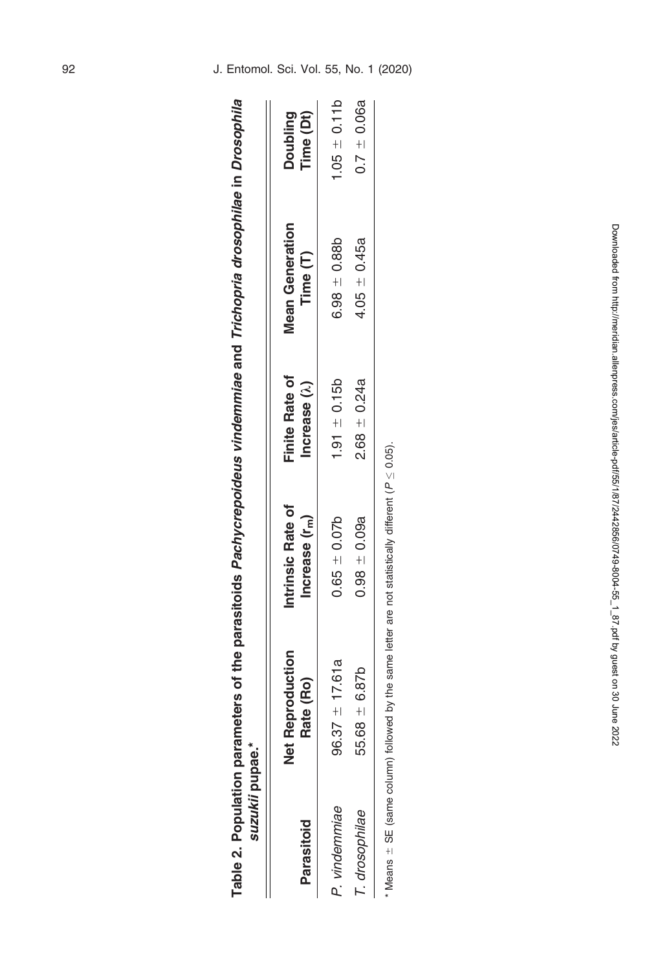| suzukii pupae.*<br>Table 2. Population |                                                                                                             | parameters of the parasitoids Pachycrepoideus vindemmiae and Trichopria drosophilae in Drosophila |                                               |                                    |                              |
|----------------------------------------|-------------------------------------------------------------------------------------------------------------|---------------------------------------------------------------------------------------------------|-----------------------------------------------|------------------------------------|------------------------------|
| Parasitoid                             | <b>Net Reproduction</b><br>Rate (Ro)                                                                        | Intrinsic Rate of<br>Increase $(r_m)$                                                             | <b>Finite Rate of</b><br>Increase $(\lambda)$ | <b>Mean Generation</b><br>Time (T) | Time (Dt)<br><b>Doubling</b> |
| P. vindemmiae                          | $96.37 \pm 17.61a$                                                                                          | $0.65 \pm 0.07b$                                                                                  | $1.91 \pm 0.15b$                              | $6.98 + 0.88$                      | $1.05 \pm 0.11b$             |
| T. drosophilae                         | $55.68 \pm 6.87b$                                                                                           | $0.98 + 0.09a$                                                                                    | $2.68 - 0.24a$                                | $4.05 \pm 0.45a$                   | $0.7 \pm 0.06a$              |
|                                        | Means $\pm$ SE (same column) followed by the same letter are not statistically different ( $P \leq 0.05$ ). |                                                                                                   |                                               |                                    |                              |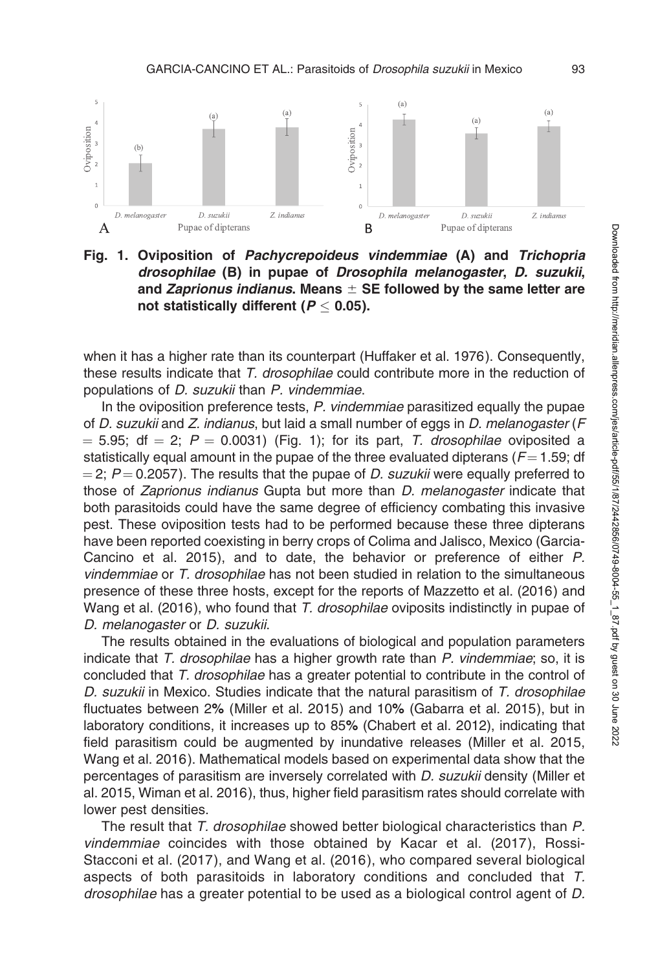

Fig. 1. Oviposition of Pachycrepoideus vindemmiae (A) and Trichopria drosophilae (B) in pupae of Drosophila melanogaster, D. suzukii, and Zaprionus indianus. Means  $\pm$  SE followed by the same letter are not statistically different ( $\boldsymbol{P} \leq$  0.05).

when it has a higher rate than its counterpart (Huffaker et al. 1976). Consequently, these results indicate that T. drosophilae could contribute more in the reduction of populations of D. suzukii than P. vindemmiae.

In the oviposition preference tests, P. vindemmiae parasitized equally the pupae of D. suzukii and Z. indianus, but laid a small number of eggs in D. melanogaster ( $F$  $=$  5.95; df  $=$  2; P  $=$  0.0031) (Fig. 1); for its part, T. drosophilae oviposited a statistically equal amount in the pupae of the three evaluated dipterans ( $F = 1.59$ ; df  $=$  2; P  $=$  0.2057). The results that the pupae of D. suzukii were equally preferred to those of Zaprionus indianus Gupta but more than D. melanogaster indicate that both parasitoids could have the same degree of efficiency combating this invasive pest. These oviposition tests had to be performed because these three dipterans have been reported coexisting in berry crops of Colima and Jalisco, Mexico (Garcia-Cancino et al. 2015), and to date, the behavior or preference of either P. vindemmiae or T. drosophilae has not been studied in relation to the simultaneous presence of these three hosts, except for the reports of Mazzetto et al. (2016) and Wang et al. (2016), who found that T. drosophilae oviposits indistinctly in pupae of D. melanogaster or D. suzukii.

The results obtained in the evaluations of biological and population parameters indicate that T. drosophilae has a higher growth rate than P. vindemmiae; so, it is concluded that T. drosophilae has a greater potential to contribute in the control of D. suzukii in Mexico. Studies indicate that the natural parasitism of T. drosophilae fluctuates between 2% (Miller et al. 2015) and 10% (Gabarra et al. 2015), but in laboratory conditions, it increases up to 85% (Chabert et al. 2012), indicating that field parasitism could be augmented by inundative releases (Miller et al. 2015, Wang et al. 2016). Mathematical models based on experimental data show that the percentages of parasitism are inversely correlated with D. suzukii density (Miller et al. 2015, Wiman et al. 2016), thus, higher field parasitism rates should correlate with lower pest densities.

The result that T. drosophilae showed better biological characteristics than P. vindemmiae coincides with those obtained by Kacar et al. (2017), Rossi-Stacconi et al. (2017), and Wang et al. (2016), who compared several biological aspects of both parasitoids in laboratory conditions and concluded that T. drosophilae has a greater potential to be used as a biological control agent of D.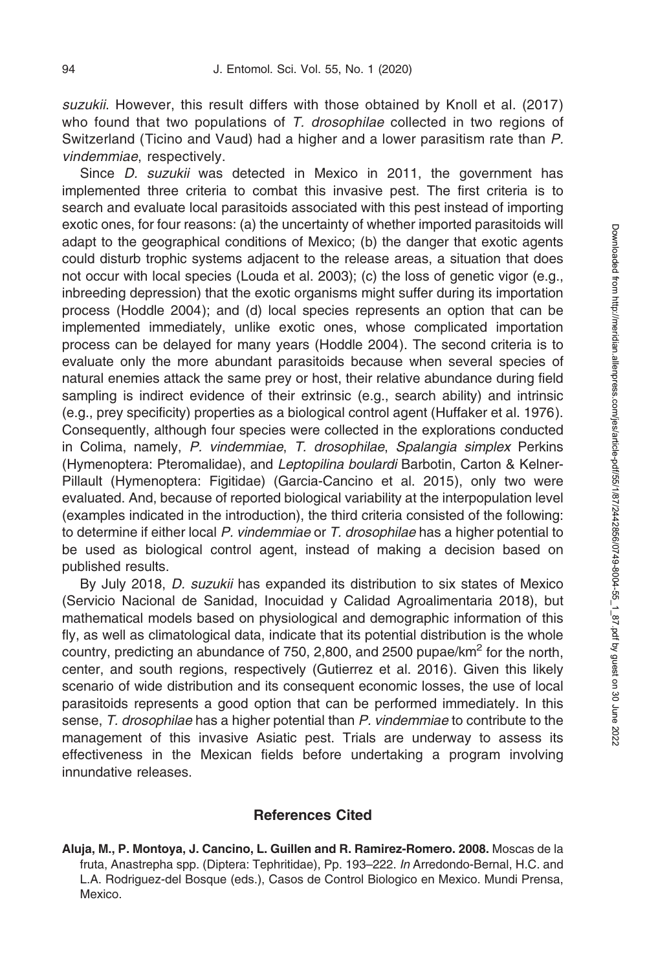suzukii. However, this result differs with those obtained by Knoll et al. (2017) who found that two populations of  $T$ . drosophilae collected in two regions of Switzerland (Ticino and Vaud) had a higher and a lower parasitism rate than P. vindemmiae, respectively.

Since *D. suzukii* was detected in Mexico in 2011, the government has implemented three criteria to combat this invasive pest. The first criteria is to search and evaluate local parasitoids associated with this pest instead of importing exotic ones, for four reasons: (a) the uncertainty of whether imported parasitoids will adapt to the geographical conditions of Mexico; (b) the danger that exotic agents could disturb trophic systems adjacent to the release areas, a situation that does not occur with local species (Louda et al. 2003); (c) the loss of genetic vigor (e.g., inbreeding depression) that the exotic organisms might suffer during its importation process (Hoddle 2004); and (d) local species represents an option that can be implemented immediately, unlike exotic ones, whose complicated importation process can be delayed for many years (Hoddle 2004). The second criteria is to evaluate only the more abundant parasitoids because when several species of natural enemies attack the same prey or host, their relative abundance during field sampling is indirect evidence of their extrinsic (e.g., search ability) and intrinsic (e.g., prey specificity) properties as a biological control agent (Huffaker et al. 1976). Consequently, although four species were collected in the explorations conducted in Colima, namely, P. vindemmiae, T. drosophilae, Spalangia simplex Perkins (Hymenoptera: Pteromalidae), and Leptopilina boulardi Barbotin, Carton & Kelner-Pillault (Hymenoptera: Figitidae) (Garcia-Cancino et al. 2015), only two were evaluated. And, because of reported biological variability at the interpopulation level (examples indicated in the introduction), the third criteria consisted of the following: to determine if either local P. vindemmiae or T. drosophilae has a higher potential to be used as biological control agent, instead of making a decision based on published results.

By July 2018, D. suzukii has expanded its distribution to six states of Mexico (Servicio Nacional de Sanidad, Inocuidad y Calidad Agroalimentaria 2018), but mathematical models based on physiological and demographic information of this fly, as well as climatological data, indicate that its potential distribution is the whole country, predicting an abundance of 750, 2,800, and 2500 pupae/ $km<sup>2</sup>$  for the north, center, and south regions, respectively (Gutierrez et al. 2016). Given this likely scenario of wide distribution and its consequent economic losses, the use of local parasitoids represents a good option that can be performed immediately. In this sense, T. drosophilae has a higher potential than P. vindemmiae to contribute to the management of this invasive Asiatic pest. Trials are underway to assess its effectiveness in the Mexican fields before undertaking a program involving innundative releases.

## References Cited

Aluja, M., P. Montoya, J. Cancino, L. Guillen and R. Ramirez-Romero. 2008. Moscas de la fruta, Anastrepha spp. (Diptera: Tephritidae), Pp. 193–222. In Arredondo-Bernal, H.C. and L.A. Rodriguez-del Bosque (eds.), Casos de Control Biologico en Mexico. Mundi Prensa, Mexico.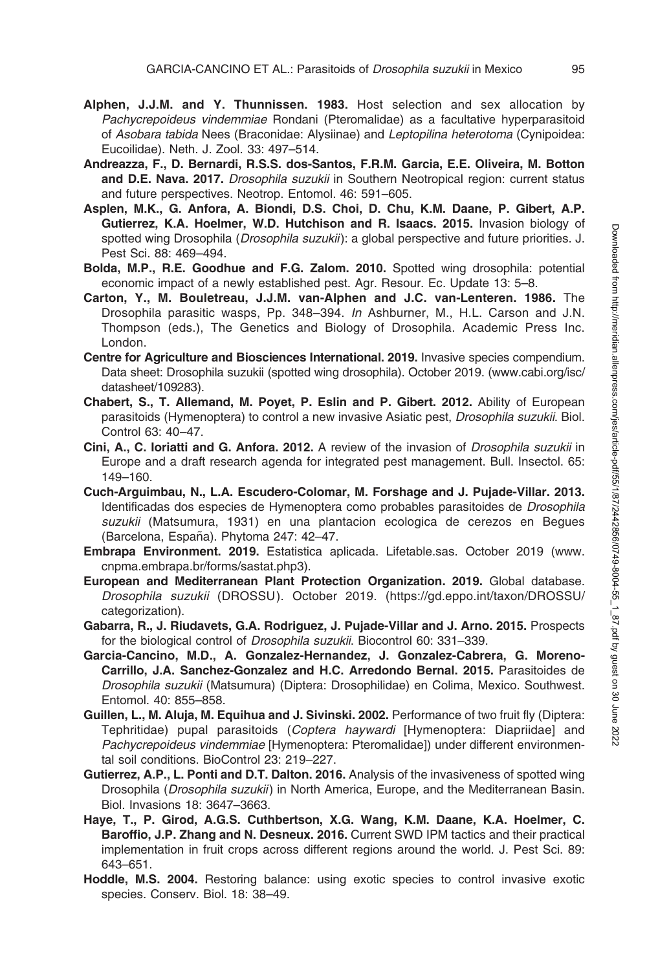- Alphen, J.J.M. and Y. Thunnissen. 1983. Host selection and sex allocation by Pachycrepoideus vindemmiae Rondani (Pteromalidae) as a facultative hyperparasitoid of Asobara tabida Nees (Braconidae: Alysiinae) and Leptopilina heterotoma (Cynipoidea: Eucoilidae). Neth. J. Zool. 33: 497–514.
- Andreazza, F., D. Bernardi, R.S.S. dos-Santos, F.R.M. Garcia, E.E. Oliveira, M. Botton and D.E. Nava. 2017. Drosophila suzukii in Southern Neotropical region: current status and future perspectives. Neotrop. Entomol. 46: 591–605.
- Asplen, M.K., G. Anfora, A. Biondi, D.S. Choi, D. Chu, K.M. Daane, P. Gibert, A.P. Gutierrez, K.A. Hoelmer, W.D. Hutchison and R. Isaacs. 2015. Invasion biology of spotted wing Drosophila (*Drosophila suzukii*): a global perspective and future priorities. J. Pest Sci. 88: 469–494.
- Bolda, M.P., R.E. Goodhue and F.G. Zalom. 2010. Spotted wing drosophila: potential economic impact of a newly established pest. Agr. Resour. Ec. Update 13: 5–8.
- Carton, Y., M. Bouletreau, J.J.M. van-Alphen and J.C. van-Lenteren. 1986. The Drosophila parasitic wasps, Pp. 348–394. In Ashburner, M., H.L. Carson and J.N. Thompson (eds.), The Genetics and Biology of Drosophila. Academic Press Inc. London.
- Centre for Agriculture and Biosciences International. 2019. Invasive species compendium. Data sheet: Drosophila suzukii (spotted wing drosophila). October 2019. (www.cabi.org/isc/ datasheet/109283).
- Chabert, S., T. Allemand, M. Poyet, P. Eslin and P. Gibert. 2012. Ability of European parasitoids (Hymenoptera) to control a new invasive Asiatic pest, Drosophila suzukii. Biol. Control 63: 40–47.
- Cini, A., C. Ioriatti and G. Anfora. 2012. A review of the invasion of *Drosophila suzukii* in Europe and a draft research agenda for integrated pest management. Bull. Insectol. 65: 149–160.
- Cuch-Arguimbau, N., L.A. Escudero-Colomar, M. Forshage and J. Pujade-Villar. 2013. Identificadas dos especies de Hymenoptera como probables parasitoides de Drosophila suzukii (Matsumura, 1931) en una plantacion ecologica de cerezos en Begues (Barcelona, España). Phytoma 247: 42-47.
- Embrapa Environment. 2019. Estatistica aplicada. Lifetable.sas. October 2019 (www. cnpma.embrapa.br/forms/sastat.php3).
- European and Mediterranean Plant Protection Organization. 2019. Global database. Drosophila suzukii (DROSSU). October 2019. (https://gd.eppo.int/taxon/DROSSU/ categorization).
- Gabarra, R., J. Riudavets, G.A. Rodriguez, J. Pujade-Villar and J. Arno. 2015. Prospects for the biological control of Drosophila suzukii. Biocontrol 60: 331–339.
- Garcia-Cancino, M.D., A. Gonzalez-Hernandez, J. Gonzalez-Cabrera, G. Moreno-Carrillo, J.A. Sanchez-Gonzalez and H.C. Arredondo Bernal. 2015. Parasitoides de Drosophila suzukii (Matsumura) (Diptera: Drosophilidae) en Colima, Mexico. Southwest. Entomol. 40: 855–858.
- Guillen, L., M. Aluja, M. Equihua and J. Sivinski. 2002. Performance of two fruit fly (Diptera: Tephritidae) pupal parasitoids (Coptera haywardi [Hymenoptera: Diapriidae] and Pachycrepoideus vindemmiae [Hymenoptera: Pteromalidae]) under different environmental soil conditions. BioControl 23: 219–227.
- Gutierrez, A.P., L. Ponti and D.T. Dalton. 2016. Analysis of the invasiveness of spotted wing Drosophila (Drosophila suzukii) in North America, Europe, and the Mediterranean Basin. Biol. Invasions 18: 3647–3663.
- Haye, T., P. Girod, A.G.S. Cuthbertson, X.G. Wang, K.M. Daane, K.A. Hoelmer, C. Baroffio, J.P. Zhang and N. Desneux. 2016. Current SWD IPM tactics and their practical implementation in fruit crops across different regions around the world. J. Pest Sci. 89: 643–651.
- Hoddle, M.S. 2004. Restoring balance: using exotic species to control invasive exotic species. Conserv. Biol. 18: 38–49.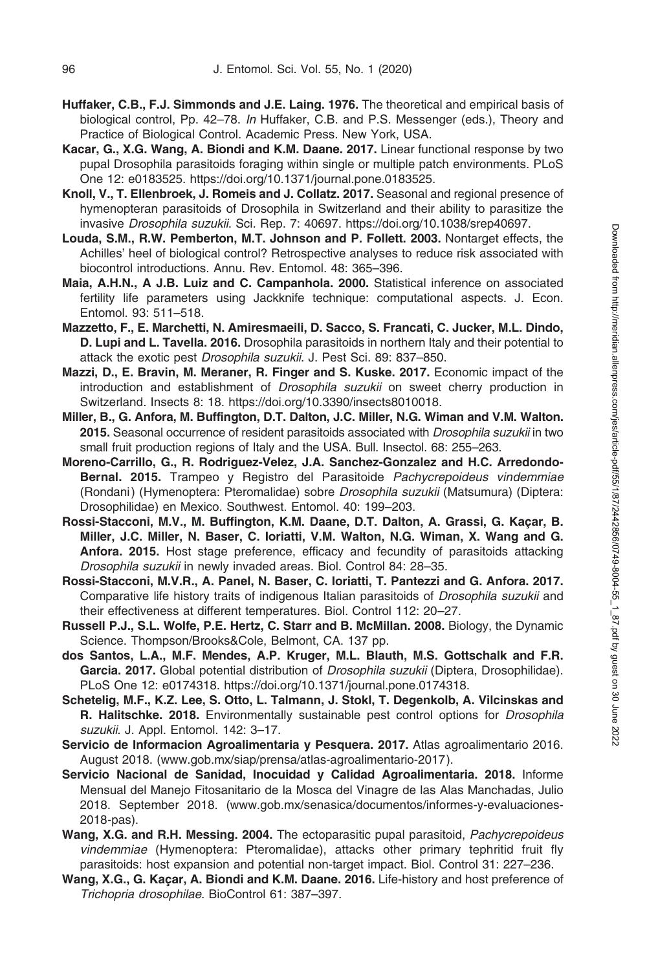- Huffaker, C.B., F.J. Simmonds and J.E. Laing. 1976. The theoretical and empirical basis of biological control, Pp. 42–78. In Huffaker, C.B. and P.S. Messenger (eds.), Theory and Practice of Biological Control. Academic Press. New York, USA.
- Kacar, G., X.G. Wang, A. Biondi and K.M. Daane. 2017. Linear functional response by two pupal Drosophila parasitoids foraging within single or multiple patch environments. PLoS One 12: e0183525. https://doi.org/10.1371/journal.pone.0183525.
- Knoll, V., T. Ellenbroek, J. Romeis and J. Collatz. 2017. Seasonal and regional presence of hymenopteran parasitoids of Drosophila in Switzerland and their ability to parasitize the invasive Drosophila suzukii. Sci. Rep. 7: 40697. https://doi.org/10.1038/srep40697.
- Louda, S.M., R.W. Pemberton, M.T. Johnson and P. Follett. 2003. Nontarget effects, the Achilles' heel of biological control? Retrospective analyses to reduce risk associated with biocontrol introductions. Annu. Rev. Entomol. 48: 365–396.
- Maia, A.H.N., A J.B. Luiz and C. Campanhola. 2000. Statistical inference on associated fertility life parameters using Jackknife technique: computational aspects. J. Econ. Entomol. 93: 511–518.
- Mazzetto, F., E. Marchetti, N. Amiresmaeili, D. Sacco, S. Francati, C. Jucker, M.L. Dindo, D. Lupi and L. Tavella. 2016. Drosophila parasitoids in northern Italy and their potential to attack the exotic pest Drosophila suzukii. J. Pest Sci. 89: 837–850.
- Mazzi, D., E. Bravin, M. Meraner, R. Finger and S. Kuske. 2017. Economic impact of the introduction and establishment of *Drosophila suzukii* on sweet cherry production in Switzerland. Insects 8: 18. https://doi.org/10.3390/insects8010018.
- Miller, B., G. Anfora, M. Buffington, D.T. Dalton, J.C. Miller, N.G. Wiman and V.M. Walton. 2015. Seasonal occurrence of resident parasitoids associated with Drosophila suzukii in two small fruit production regions of Italy and the USA. Bull. Insectol. 68: 255–263.
- Moreno-Carrillo, G., R. Rodriguez-Velez, J.A. Sanchez-Gonzalez and H.C. Arredondo-Bernal. 2015. Trampeo y Registro del Parasitoide Pachycrepoideus vindemmiae (Rondani) (Hymenoptera: Pteromalidae) sobre Drosophila suzukii (Matsumura) (Diptera: Drosophilidae) en Mexico. Southwest. Entomol. 40: 199–203.
- Rossi-Stacconi, M.V., M. Buffington, K.M. Daane, D.T. Dalton, A. Grassi, G. Kaçar, B. Miller, J.C. Miller, N. Baser, C. Ioriatti, V.M. Walton, N.G. Wiman, X. Wang and G. Anfora. 2015. Host stage preference, efficacy and fecundity of parasitoids attacking Drosophila suzukii in newly invaded areas. Biol. Control 84: 28–35.
- Rossi-Stacconi, M.V.R., A. Panel, N. Baser, C. Ioriatti, T. Pantezzi and G. Anfora. 2017. Comparative life history traits of indigenous Italian parasitoids of Drosophila suzukii and their effectiveness at different temperatures. Biol. Control 112: 20–27.
- Russell P.J., S.L. Wolfe, P.E. Hertz, C. Starr and B. McMillan. 2008. Biology, the Dynamic Science. Thompson/Brooks&Cole, Belmont, CA. 137 pp.
- dos Santos, L.A., M.F. Mendes, A.P. Kruger, M.L. Blauth, M.S. Gottschalk and F.R. Garcia. 2017. Global potential distribution of *Drosophila suzukii* (Diptera, Drosophilidae). PLoS One 12: e0174318. https://doi.org/10.1371/journal.pone.0174318.
- Schetelig, M.F., K.Z. Lee, S. Otto, L. Talmann, J. Stokl, T. Degenkolb, A. Vilcinskas and R. Halitschke. 2018. Environmentally sustainable pest control options for *Drosophila* suzukii. J. Appl. Entomol. 142: 3–17.
- Servicio de Informacion Agroalimentaria y Pesquera. 2017. Atlas agroalimentario 2016. August 2018. (www.gob.mx/siap/prensa/atlas-agroalimentario-2017).
- Servicio Nacional de Sanidad, Inocuidad y Calidad Agroalimentaria. 2018. Informe Mensual del Manejo Fitosanitario de la Mosca del Vinagre de las Alas Manchadas, Julio 2018. September 2018. (www.gob.mx/senasica/documentos/informes-y-evaluaciones-2018-pas).
- Wang, X.G. and R.H. Messing. 2004. The ectoparasitic pupal parasitoid, Pachycrepoideus vindemmiae (Hymenoptera: Pteromalidae), attacks other primary tephritid fruit fly parasitoids: host expansion and potential non-target impact. Biol. Control 31: 227–236.
- Wang, X.G., G. Kaçar, A. Biondi and K.M. Daane. 2016. Life-history and host preference of Trichopria drosophilae. BioControl 61: 387–397.